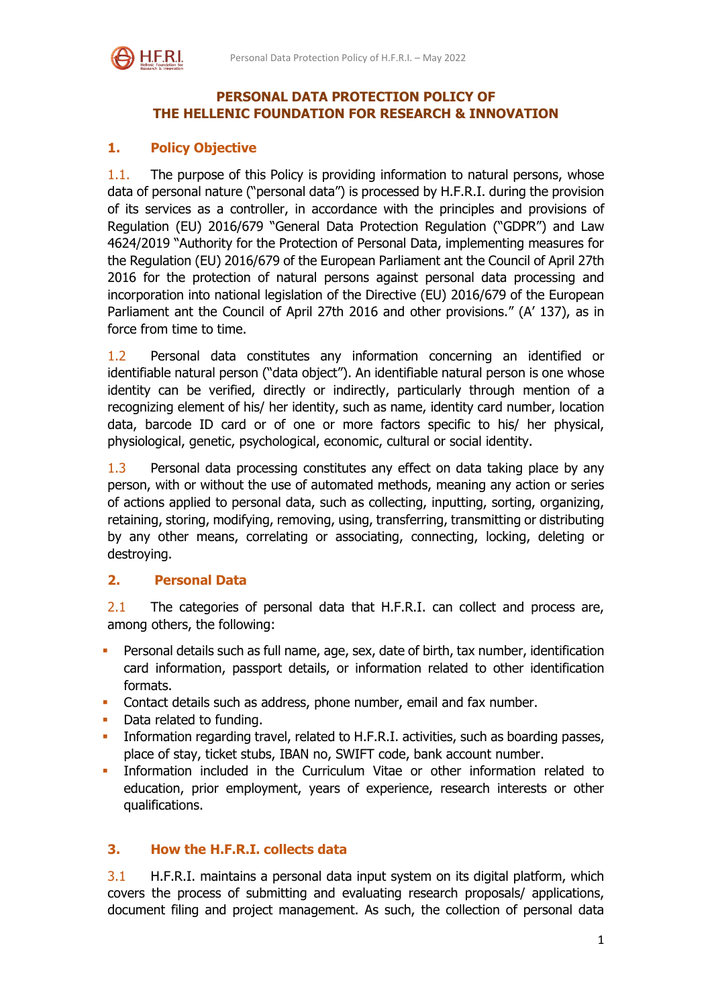

## **PERSONAL DATA PROTECTION POLICY OF THE HELLENIC FOUNDATION FOR RESEARCH & INNOVATION**

# **1. Policy Objective**

1.1. The purpose of this Policy is providing information to natural persons, whose data of personal nature ("personal data") is processed by H.F.R.I. during the provision of its services as a controller, in accordance with the principles and provisions of Regulation (ΕU) 2016/679 "General Data Protection Regulation ("GDPR") and Law 4624/2019 "Authority for the Protection of Personal Data, implementing measures for the Regulation (EU) 2016/679 of the European Parliament ant the Council of April 27th 2016 for the protection of natural persons against personal data processing and incorporation into national legislation of the Directive (EU) 2016/679 of the European Parliament ant the Council of April 27th 2016 and other provisions." (A' 137), as in force from time to time.

1.2 Personal data constitutes any information concerning an identified or identifiable natural person ("data object"). An identifiable natural person is one whose identity can be verified, directly or indirectly, particularly through mention of a recognizing element of his/ her identity, such as name, identity card number, location data, barcode ID card or of one or more factors specific to his/ her physical, physiological, genetic, psychological, economic, cultural or social identity.

1.3 Personal data processing constitutes any effect on data taking place by any person, with or without the use of automated methods, meaning any action or series of actions applied to personal data, such as collecting, inputting, sorting, organizing, retaining, storing, modifying, removing, using, transferring, transmitting or distributing by any other means, correlating or associating, connecting, locking, deleting or destroying.

## **2. Personal Data**

2.1 The categories of personal data that H.F.R.I. can collect and process are, among others, the following:

- Personal details such as full name, age, sex, date of birth, tax number, identification card information, passport details, or information related to other identification formats.
- Contact details such as address, phone number, email and fax number.
- Data related to funding.
- **Information regarding travel, related to H.F.R.I. activities, such as boarding passes,** place of stay, ticket stubs, IBAN no, SWIFT code, bank account number.
- Information included in the Curriculum Vitae or other information related to education, prior employment, years of experience, research interests or other qualifications.

## **3. How the H.F.R.I. collects data**

3.1 H.F.R.I. maintains a personal data input system on its digital platform, which covers the process of submitting and evaluating research proposals/ applications, document filing and project management. As such, the collection of personal data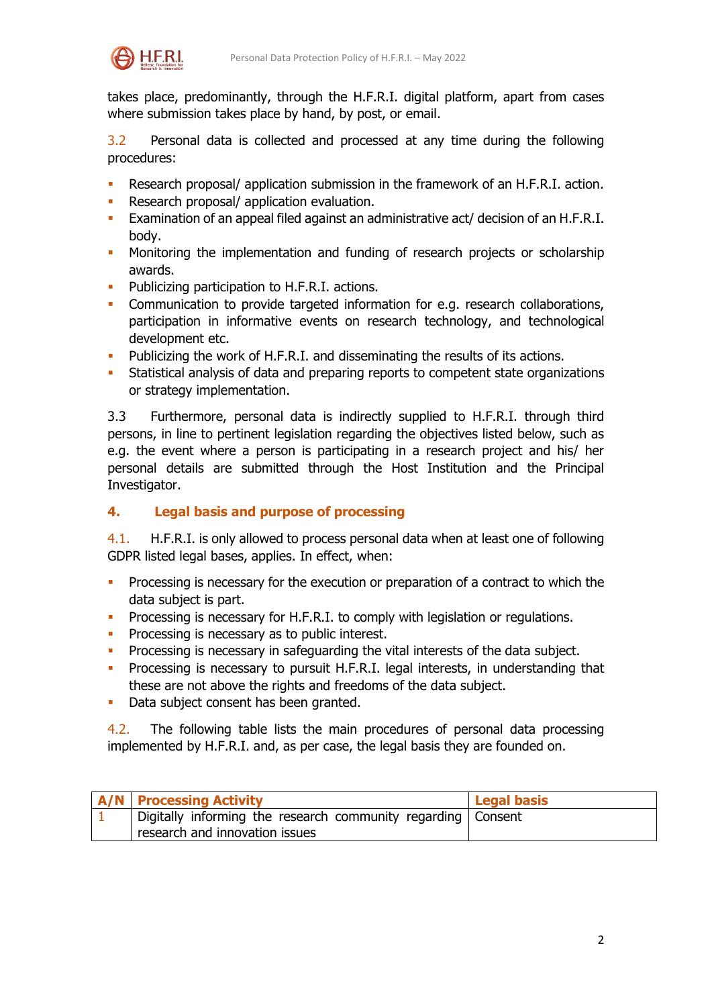

takes place, predominantly, through the H.F.R.I. digital platform, apart from cases where submission takes place by hand, by post, or email.

3.2 Personal data is collected and processed at any time during the following procedures:

- Research proposal/ application submission in the framework of an H.F.R.I. action.
- Research proposal/ application evaluation.
- Examination of an appeal filed against an administrative act/ decision of an H.F.R.I. body.
- Monitoring the implementation and funding of research projects or scholarship awards.
- Publicizing participation to H.F.R.I. actions.
- Communication to provide targeted information for e.g. research collaborations, participation in informative events on research technology, and technological development etc.
- **Publicizing the work of H.F.R.I. and disseminating the results of its actions.**
- Statistical analysis of data and preparing reports to competent state organizations or strategy implementation.

3.3 Furthermore, personal data is indirectly supplied to H.F.R.I. through third persons, in line to pertinent legislation regarding the objectives listed below, such as e.g. the event where a person is participating in a research project and his/ her personal details are submitted through the Host Institution and the Principal Investigator.

# **4. Legal basis and purpose of processing**

4.1. H.F.R.I. is only allowed to process personal data when at least one of following GDPR listed legal bases, applies. In effect, when:

- **Processing is necessary for the execution or preparation of a contract to which the** data subject is part.
- **Processing is necessary for H.F.R.I. to comply with legislation or regulations.**
- **Processing is necessary as to public interest.**
- Processing is necessary in safeguarding the vital interests of the data subject.
- **Processing is necessary to pursuit H.F.R.I. legal interests, in understanding that** these are not above the rights and freedoms of the data subject.
- Data subject consent has been granted.

4.2. The following table lists the main procedures of personal data processing implemented by H.F.R.I. and, as per case, the legal basis they are founded on.

| <b>A/N</b> Processing Activity                                 | <b>Legal basis</b> |
|----------------------------------------------------------------|--------------------|
| Digitally informing the research community regarding   Consent |                    |
| research and innovation issues                                 |                    |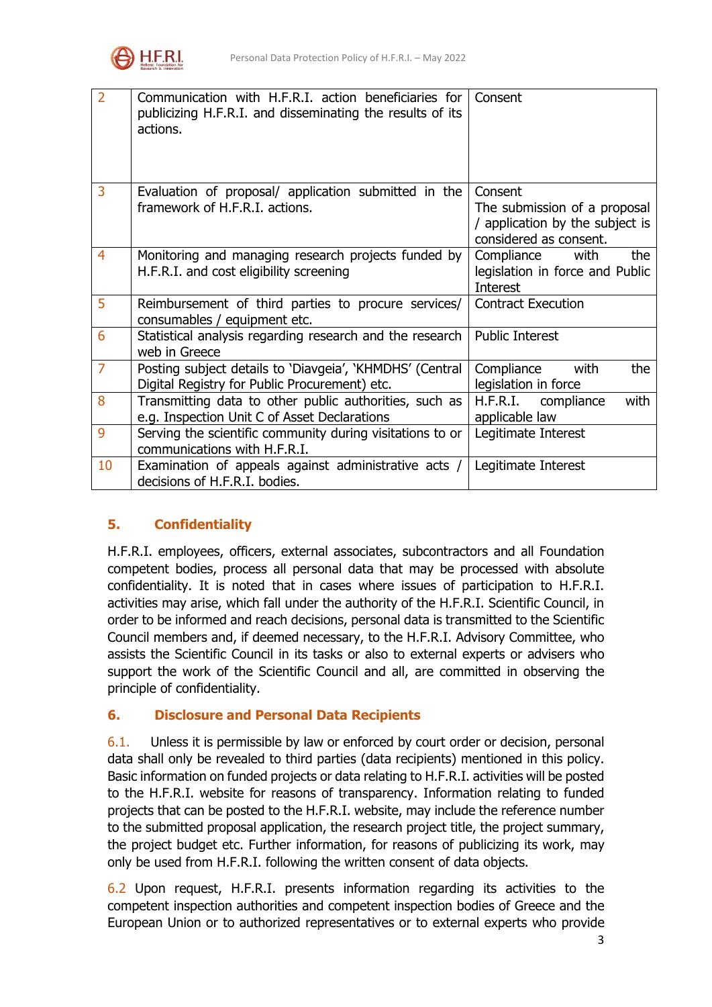

| $\overline{2}$ | Communication with H.F.R.I. action beneficiaries for<br>publicizing H.F.R.I. and disseminating the results of its<br>actions. | Consent                                                                                              |
|----------------|-------------------------------------------------------------------------------------------------------------------------------|------------------------------------------------------------------------------------------------------|
| 3              | Evaluation of proposal/ application submitted in the<br>framework of H.F.R.I. actions.                                        | Consent<br>The submission of a proposal<br>/ application by the subject is<br>considered as consent. |
| $\overline{4}$ | Monitoring and managing research projects funded by<br>H.F.R.I. and cost eligibility screening                                | Compliance<br>with<br>the<br>legislation in force and Public<br><b>Interest</b>                      |
| 5              | Reimbursement of third parties to procure services/<br>consumables / equipment etc.                                           | <b>Contract Execution</b>                                                                            |
| 6              | Statistical analysis regarding research and the research<br>web in Greece                                                     | <b>Public Interest</b>                                                                               |
| $\overline{7}$ | Posting subject details to 'Diavgeia', 'KHMDHS' (Central<br>Digital Registry for Public Procurement) etc.                     | Compliance<br>the<br>with<br>legislation in force                                                    |
| 8              | Transmitting data to other public authorities, such as<br>e.g. Inspection Unit C of Asset Declarations                        | with<br>H.F.R.I. compliance<br>applicable law                                                        |
| 9              | Serving the scientific community during visitations to or<br>communications with H.F.R.I.                                     | Legitimate Interest                                                                                  |
| 10             | Examination of appeals against administrative acts /<br>decisions of H.F.R.I. bodies.                                         | Legitimate Interest                                                                                  |

## **5. Confidentiality**

H.F.R.I. employees, officers, external associates, subcontractors and all Foundation competent bodies, process all personal data that may be processed with absolute confidentiality. It is noted that in cases where issues of participation to H.F.R.I. activities may arise, which fall under the authority of the H.F.R.I. Scientific Council, in order to be informed and reach decisions, personal data is transmitted to the Scientific Council members and, if deemed necessary, to the H.F.R.I. Advisory Committee, who assists the Scientific Council in its tasks or also to external experts or advisers who support the work of the Scientific Council and all, are committed in observing the principle of confidentiality.

## **6. Disclosure and Personal Data Recipients**

6.1. Unless it is permissible by law or enforced by court order or decision, personal data shall only be revealed to third parties (data recipients) mentioned in this policy. Basic information on funded projects or data relating to H.F.R.I. activities will be posted to the H.F.R.I. website for reasons of transparency. Information relating to funded projects that can be posted to the H.F.R.I. website, may include the reference number to the submitted proposal application, the research project title, the project summary, the project budget etc. Further information, for reasons of publicizing its work, may only be used from H.F.R.I. following the written consent of data objects.

6.2 Upon request, H.F.R.I. presents information regarding its activities to the competent inspection authorities and competent inspection bodies of Greece and the European Union or to authorized representatives or to external experts who provide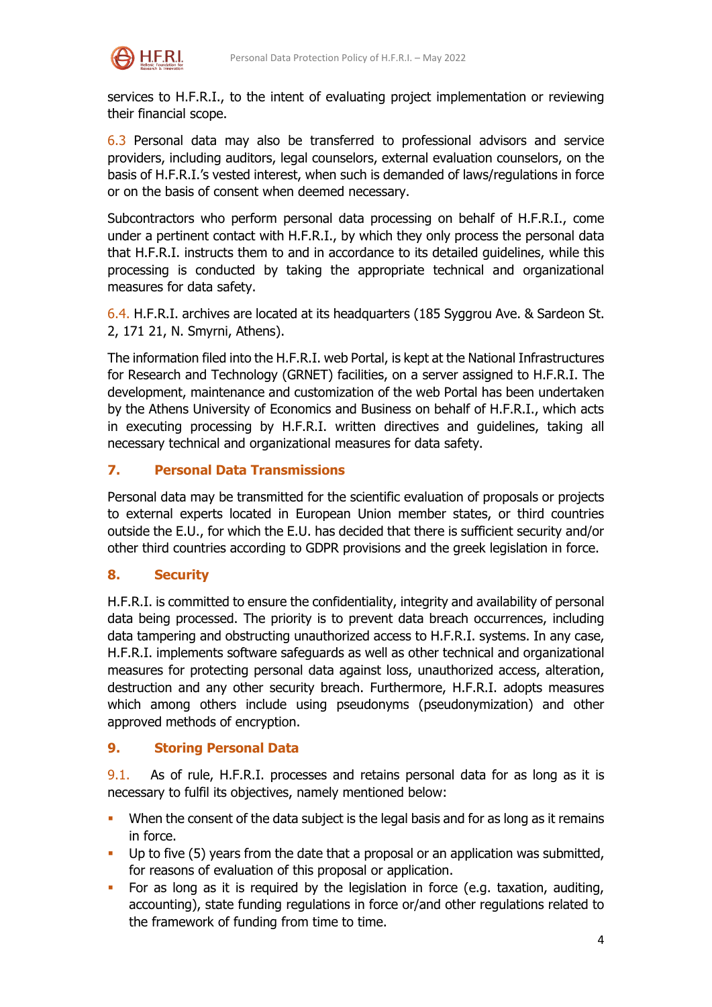

services to H.F.R.I., to the intent of evaluating project implementation or reviewing their financial scope.

6.3 Personal data may also be transferred to professional advisors and service providers, including auditors, legal counselors, external evaluation counselors, on the basis of H.F.R.I.'s vested interest, when such is demanded of laws/regulations in force or on the basis of consent when deemed necessary.

Subcontractors who perform personal data processing on behalf of H.F.R.I., come under a pertinent contact with H.F.R.I., by which they only process the personal data that H.F.R.I. instructs them to and in accordance to its detailed guidelines, while this processing is conducted by taking the appropriate technical and organizational measures for data safety.

6.4. H.F.R.I. archives are located at its headquarters (185 Syggrou Ave. & Sardeon St. 2, 171 21, N. Smyrni, Athens).

The information filed into the H.F.R.I. web Portal, is kept at the National Infrastructures for Research and Technology (GRNET) facilities, on a server assigned to H.F.R.I. The development, maintenance and customization of the web Portal has been undertaken by the Athens University of Economics and Business on behalf of H.F.R.I., which acts in executing processing by H.F.R.I. written directives and guidelines, taking all necessary technical and organizational measures for data safety.

## **7. Personal Data Transmissions**

Personal data may be transmitted for the scientific evaluation of proposals or projects to external experts located in European Union member states, or third countries outside the E.U., for which the E.U. has decided that there is sufficient security and/or other third countries according to GDPR provisions and the greek legislation in force.

#### **8. Security**

H.F.R.I. is committed to ensure the confidentiality, integrity and availability of personal data being processed. The priority is to prevent data breach occurrences, including data tampering and obstructing unauthorized access to H.F.R.I. systems. In any case, H.F.R.I. implements software safeguards as well as other technical and organizational measures for protecting personal data against loss, unauthorized access, alteration, destruction and any other security breach. Furthermore, H.F.R.I. adopts measures which among others include using pseudonyms (pseudonymization) and other approved methods of encryption.

#### **9. Storing Personal Data**

9.1. As of rule, H.F.R.I. processes and retains personal data for as long as it is necessary to fulfil its objectives, namely mentioned below:

- When the consent of the data subject is the legal basis and for as long as it remains in force.
- Up to five (5) years from the date that a proposal or an application was submitted, for reasons of evaluation of this proposal or application.
- For as long as it is required by the legislation in force (e.g. taxation, auditing, accounting), state funding regulations in force or/and other regulations related to the framework of funding from time to time.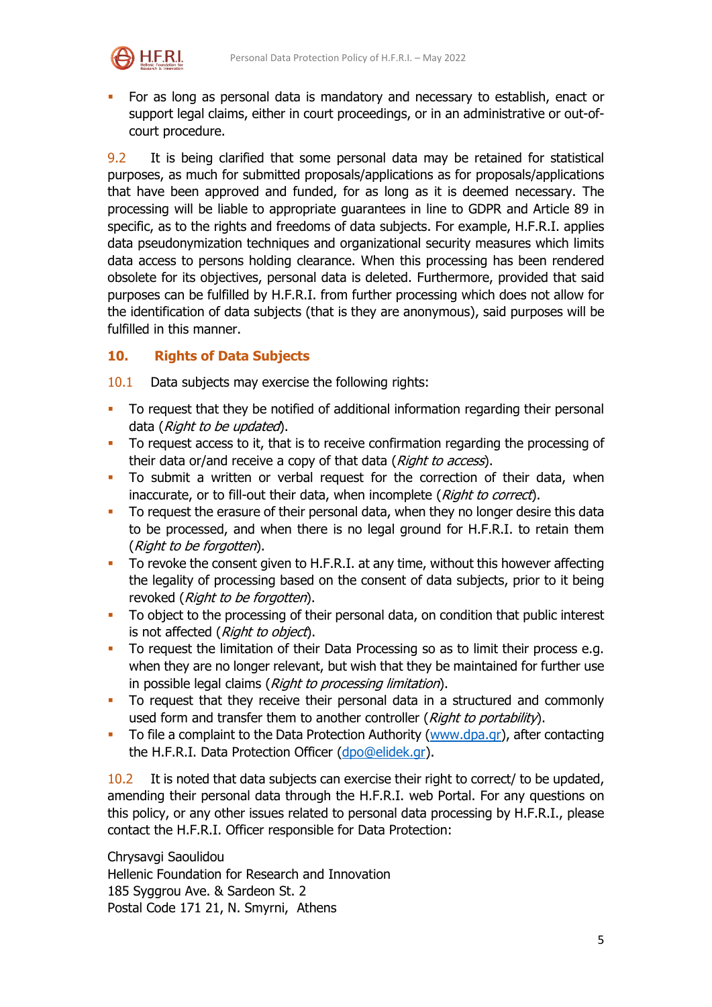

 For as long as personal data is mandatory and necessary to establish, enact or support legal claims, either in court proceedings, or in an administrative or out-ofcourt procedure.

9.2 It is being clarified that some personal data may be retained for statistical purposes, as much for submitted proposals/applications as for proposals/applications that have been approved and funded, for as long as it is deemed necessary. The processing will be liable to appropriate guarantees in line to GDPR and Article 89 in specific, as to the rights and freedoms of data subjects. For example, H.F.R.I. applies data pseudonymization techniques and organizational security measures which limits data access to persons holding clearance. When this processing has been rendered obsolete for its objectives, personal data is deleted. Furthermore, provided that said purposes can be fulfilled by H.F.R.I. from further processing which does not allow for the identification of data subjects (that is they are anonymous), said purposes will be fulfilled in this manner.

## **10. Rights of Data Subjects**

10.1 Data subjects may exercise the following rights:

- To request that they be notified of additional information regarding their personal data (Right to be updated).
- To request access to it, that is to receive confirmation regarding the processing of their data or/and receive a copy of that data (Right to access).
- To submit a written or verbal request for the correction of their data, when inaccurate, or to fill-out their data, when incomplete (Right to correct).
- To request the erasure of their personal data, when they no longer desire this data to be processed, and when there is no legal ground for H.F.R.I. to retain them (Right to be forgotten).
- To revoke the consent given to H.F.R.I. at any time, without this however affecting the legality of processing based on the consent of data subjects, prior to it being revoked (Right to be forgotten).
- To object to the processing of their personal data, on condition that public interest is not affected (Right to object).
- To request the limitation of their Data Processing so as to limit their process e.g. when they are no longer relevant, but wish that they be maintained for further use in possible legal claims (*Right to processing limitation*).
- To request that they receive their personal data in a structured and commonly used form and transfer them to another controller (Right to portability).
- To file a complaint to the Data Protection Authority [\(www.dpa.gr\)](http://www.dpa.gr/), after contacting the H.F.R.I. Data Protection Officer [\(dpo@elidek.gr\)](mailto:dpo@elidek.gr).

10.2 It is noted that data subjects can exercise their right to correct/ to be updated, amending their personal data through the H.F.R.I. web Portal. For any questions on this policy, or any other issues related to personal data processing by H.F.R.I., please contact the H.F.R.I. Officer responsible for Data Protection:

Chrysavgi Saoulidou Hellenic Foundation for Research and Innovation 185 Syggrou Ave. & Sardeon St. 2 Postal Code 171 21, N. Smyrni, Athens